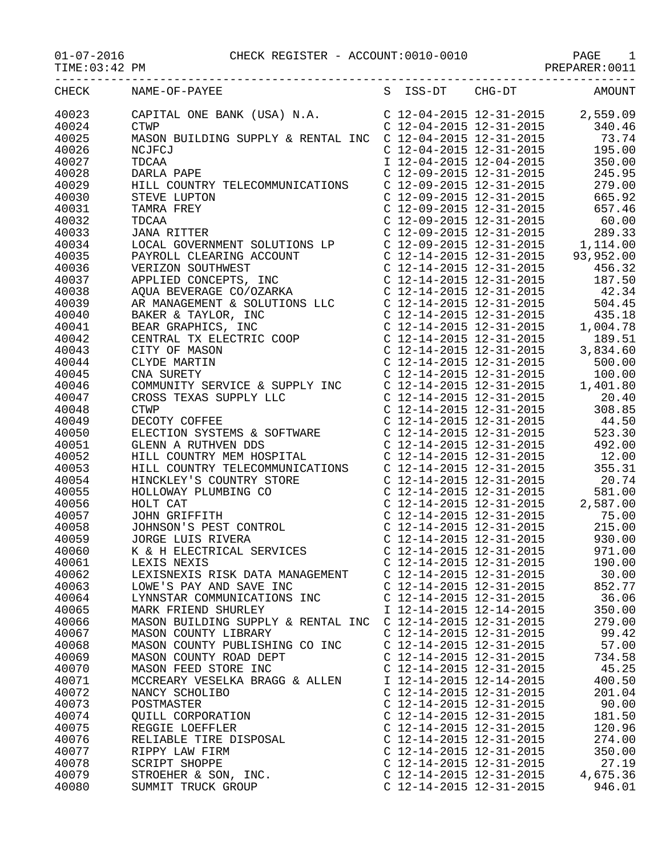## 01-07-2016 CHECK REGISTER - ACCOUNT:0010-0010 PAGE 1

TIME:03:42 PM PREPARER:0011

|                |                                                                                                                                                                                                                                       |                                                                               | INDIANCTIV OVIL                                                                                                                                                                                                                                                                                                      |
|----------------|---------------------------------------------------------------------------------------------------------------------------------------------------------------------------------------------------------------------------------------|-------------------------------------------------------------------------------|----------------------------------------------------------------------------------------------------------------------------------------------------------------------------------------------------------------------------------------------------------------------------------------------------------------------|
| CHECK          | NAME-OF-PAYEE                                                                                                                                                                                                                         | S ISS-DT CHG-DT                                                               | <b>AMOUNT</b>                                                                                                                                                                                                                                                                                                        |
| 40023          | CAPITAL ONE BANK (USA) N.A.<br>CTWP                                                                                                                                                                                                   |                                                                               | $\left. \begin{array}{llll} \text{C} & 12\text{--}04\text{--}2015 & 12\text{--}31\text{--}2015 & 2\text{,}559\text{}09 \\ \text{C} & 12\text{--}04\text{--}2015 & 12\text{--}31\text{--}2015 & 340\text{}46 \\ \text{C} & 12\text{--}04\text{--}2015 & 12\text{--}31\text{--}2015 & 73\text{}74 \end{array} \right.$ |
| 40024          | <b>CTWP</b>                                                                                                                                                                                                                           |                                                                               |                                                                                                                                                                                                                                                                                                                      |
| 40025          | MASON BUILDING SUPPLY & RENTAL INC                                                                                                                                                                                                    |                                                                               |                                                                                                                                                                                                                                                                                                                      |
| 40026          | NCJFCJ                                                                                                                                                                                                                                | $C$ 12-04-2015 12-31-2015                                                     | 195.00                                                                                                                                                                                                                                                                                                               |
| 40027          | TDCAA                                                                                                                                                                                                                                 | I 12-04-2015 12-04-2015                                                       | 350.00                                                                                                                                                                                                                                                                                                               |
| 40028          | DARLA PAPE                                                                                                                                                                                                                            | C 12-09-2015 12-31-2015<br>C 12-09-2015 12-31-2015<br>C 12-09-2015 12-31-2015 | 245.95                                                                                                                                                                                                                                                                                                               |
| 40029          | HILL COUNTRY TELECOMMUNICATIONS                                                                                                                                                                                                       |                                                                               | 279.00                                                                                                                                                                                                                                                                                                               |
| 40030          | STEVE LUPTON                                                                                                                                                                                                                          |                                                                               | 665.92                                                                                                                                                                                                                                                                                                               |
| 40031          | TAMRA FREY                                                                                                                                                                                                                            | C 12-09-2015 12-31-2015                                                       | 657.46                                                                                                                                                                                                                                                                                                               |
| 40032          | TDCAA                                                                                                                                                                                                                                 |                                                                               | C 12-09-2015 12-31-2015 60.00                                                                                                                                                                                                                                                                                        |
| 40033          | <b>JANA RITTER</b>                                                                                                                                                                                                                    | $C$ 12-09-2015 12-31-2015                                                     | 289.33                                                                                                                                                                                                                                                                                                               |
| 40034          | LOCAL GOVERNMENT SOLUTIONS LP<br>PAYROLL CLEARING ACCOUNT<br>VERIZON SOUTHWEST<br>APPLIED CONCEPTS, INC                                                                                                                               |                                                                               | $\left( \begin{array}{ccc} 12\hbox{-}09\hbox{-}2015 & 12\hbox{-}31\hbox{-}2015 & 1,114.00 \\ 12\hbox{-}14\hbox{-}2015 & 12\hbox{-}31\hbox{-}2015 & 93,952.00 \\ 12\hbox{-}14\hbox{-}2015 & 12\hbox{-}31\hbox{-}2015 & 456.32 \\ \end{array} \right)$                                                                 |
| 40035          |                                                                                                                                                                                                                                       |                                                                               |                                                                                                                                                                                                                                                                                                                      |
| 40036          |                                                                                                                                                                                                                                       |                                                                               |                                                                                                                                                                                                                                                                                                                      |
| 40037          |                                                                                                                                                                                                                                       | C 12-14-2015 12-31-2015                                                       | 187.50                                                                                                                                                                                                                                                                                                               |
| 40038          | APPLIED CONCEPTS, INC.<br>AQUA BEVERAGE CO/OZARKA CONSULTIONS LLC C 12-14-2015 12-31-2015<br>BAKER & TAYLOR, INC C 12-14-2015 12-31-2015<br>BAKER & TAYLOR, INC C 12-14-2015 12-31-2015<br>BEAR GRAPHICS, INC C 12-14-2015 12-31-2015 |                                                                               | 42.34                                                                                                                                                                                                                                                                                                                |
| 40039          |                                                                                                                                                                                                                                       | C 12-14-2015 12-31-2015                                                       | 504.45                                                                                                                                                                                                                                                                                                               |
| 40040          |                                                                                                                                                                                                                                       |                                                                               | 435.18                                                                                                                                                                                                                                                                                                               |
| 40041          |                                                                                                                                                                                                                                       | $C_12 - 14 - 2015$ 12-31-2015<br>C 12-14-2015 12-31-2015                      | 1,004.78                                                                                                                                                                                                                                                                                                             |
| 40042          |                                                                                                                                                                                                                                       | $C$ 12-14-2015 12-31-2015                                                     | 189.51                                                                                                                                                                                                                                                                                                               |
| 40043          |                                                                                                                                                                                                                                       | $C$ 12-14-2015 12-31-2015                                                     | 3,834.60                                                                                                                                                                                                                                                                                                             |
| 40044          | BEAR GRAPHICS, INC<br>CENTRAL TX ELECTRIC COOP<br>CITY OF MASON<br>CLYDE MARTIN<br>CNA SURETY                                                                                                                                         | C $12-14-2015$ $12-31-2015$                                                   | 500.00                                                                                                                                                                                                                                                                                                               |
| 40045          | CNA SURETY                                                                                                                                                                                                                            | C 12-14-2015 12-31-2015                                                       | 100.00                                                                                                                                                                                                                                                                                                               |
| 40046          | COMMUNITY SERVICE & SUPPLY INC<br>CROSS TEXAS SUPPLY LLC<br>CTWP<br>DECOTY COFFEE                                                                                                                                                     | C 12-14-2015 12-31-2015                                                       | 1,401.80                                                                                                                                                                                                                                                                                                             |
| 40047          |                                                                                                                                                                                                                                       | C 12-14-2015 12-31-2015                                                       | 20.40                                                                                                                                                                                                                                                                                                                |
| 40048          |                                                                                                                                                                                                                                       | C 12-14-2015 12-31-2015                                                       | 308.85                                                                                                                                                                                                                                                                                                               |
| 40049          |                                                                                                                                                                                                                                       | C $12-14-2015$ $12-31-2015$                                                   | 44.50                                                                                                                                                                                                                                                                                                                |
| 40050          | CTWP<br>DECOTY COFFEE<br>ELECTION SYSTEMS & SOFTWARE<br>GLENN A RUTHVEN DDS<br>UTIJ COUNTRY MEM HOSPITAL                                                                                                                              | $C$ 12-14-2015 12-31-2015                                                     | 523.30                                                                                                                                                                                                                                                                                                               |
| 40051          |                                                                                                                                                                                                                                       | C 12-14-2015 12-31-2015<br>C 12-14-2015 12-31-2015                            | 492.00                                                                                                                                                                                                                                                                                                               |
| 40052          |                                                                                                                                                                                                                                       |                                                                               | 12.00                                                                                                                                                                                                                                                                                                                |
| 40053          | HILL COUNTRY TELECOMMUNICATIONS                                                                                                                                                                                                       | C 12-14-2015 12-31-2015                                                       | 355.31                                                                                                                                                                                                                                                                                                               |
| 40054          |                                                                                                                                                                                                                                       |                                                                               | C 12-14-2015 12-31-2015 20.74                                                                                                                                                                                                                                                                                        |
| 40055<br>40056 |                                                                                                                                                                                                                                       |                                                                               |                                                                                                                                                                                                                                                                                                                      |
| 40057          |                                                                                                                                                                                                                                       |                                                                               | $\left. \begin{array}{llll} \mbox{C} & 12\hbox{-}14\hbox{-}2015 & 12\hbox{-}31\hbox{-}2015 & 581.00 \\ \mbox{C} & 12\hbox{-}14\hbox{-}2015 & 12\hbox{-}31\hbox{-}2015 & 2\hbox{,}587.00 \\ \mbox{C} & 12\hbox{-}14\hbox{-}2015 & 12\hbox{-}31\hbox{-}2015 & 75.00 \end{array} \right.$                               |
| 40058          | HINCKLEY'S COUNTRY STORE<br>HOLLOWAY PLUMBING CO<br>HOLLOWAY PLUMBING CO<br>HOLT CAT<br>JOHNSON'S PEST CONTROL<br>JORGE LUIS RIVERA                                                                                                   | $C$ 12-14-2015 12-31-2015                                                     | 215.00                                                                                                                                                                                                                                                                                                               |
| 40059          |                                                                                                                                                                                                                                       | C 12-14-2015 12-31-2015                                                       | 930.00                                                                                                                                                                                                                                                                                                               |
| 40060          | K & H ELECTRICAL SERVICES                                                                                                                                                                                                             | C 12-14-2015 12-31-2015                                                       | 971.00                                                                                                                                                                                                                                                                                                               |
| 40061          | LEXIS NEXIS                                                                                                                                                                                                                           | C 12-14-2015 12-31-2015                                                       | 190.00                                                                                                                                                                                                                                                                                                               |
| 40062          | LEXISNEXIS RISK DATA MANAGEMENT                                                                                                                                                                                                       | C 12-14-2015 12-31-2015                                                       | 30.00                                                                                                                                                                                                                                                                                                                |
| 40063          | LOWE'S PAY AND SAVE INC                                                                                                                                                                                                               | C 12-14-2015 12-31-2015                                                       | 852.77                                                                                                                                                                                                                                                                                                               |
| 40064          | LYNNSTAR COMMUNICATIONS INC                                                                                                                                                                                                           | $C$ 12-14-2015 12-31-2015                                                     | 36.06                                                                                                                                                                                                                                                                                                                |
| 40065          | MARK FRIEND SHURLEY                                                                                                                                                                                                                   | I 12-14-2015 12-14-2015                                                       | 350.00                                                                                                                                                                                                                                                                                                               |
| 40066          | MASON BUILDING SUPPLY & RENTAL INC                                                                                                                                                                                                    | C 12-14-2015 12-31-2015                                                       | 279.00                                                                                                                                                                                                                                                                                                               |
| 40067          | MASON COUNTY LIBRARY                                                                                                                                                                                                                  | C 12-14-2015 12-31-2015                                                       | 99.42                                                                                                                                                                                                                                                                                                                |
| 40068          | MASON COUNTY PUBLISHING CO INC                                                                                                                                                                                                        | C 12-14-2015 12-31-2015                                                       | 57.00                                                                                                                                                                                                                                                                                                                |
| 40069          | MASON COUNTY ROAD DEPT                                                                                                                                                                                                                | C 12-14-2015 12-31-2015                                                       | 734.58                                                                                                                                                                                                                                                                                                               |
| 40070          | MASON FEED STORE INC                                                                                                                                                                                                                  | $C$ 12-14-2015 12-31-2015                                                     | 45.25                                                                                                                                                                                                                                                                                                                |
| 40071          | MCCREARY VESELKA BRAGG & ALLEN                                                                                                                                                                                                        | I 12-14-2015 12-14-2015                                                       | 400.50                                                                                                                                                                                                                                                                                                               |
| 40072          | NANCY SCHOLIBO                                                                                                                                                                                                                        | C 12-14-2015 12-31-2015                                                       | 201.04                                                                                                                                                                                                                                                                                                               |
| 40073          | POSTMASTER                                                                                                                                                                                                                            | $C$ 12-14-2015 12-31-2015                                                     | 90.00                                                                                                                                                                                                                                                                                                                |
| 40074          | QUILL CORPORATION                                                                                                                                                                                                                     | C 12-14-2015 12-31-2015                                                       | 181.50                                                                                                                                                                                                                                                                                                               |
| 40075          | REGGIE LOEFFLER                                                                                                                                                                                                                       | C 12-14-2015 12-31-2015                                                       | 120.96                                                                                                                                                                                                                                                                                                               |
| 40076          | RELIABLE TIRE DISPOSAL                                                                                                                                                                                                                | C 12-14-2015 12-31-2015                                                       | 274.00                                                                                                                                                                                                                                                                                                               |
| 40077          | RIPPY LAW FIRM                                                                                                                                                                                                                        | C 12-14-2015 12-31-2015                                                       | 350.00                                                                                                                                                                                                                                                                                                               |
| 40078          | SCRIPT SHOPPE                                                                                                                                                                                                                         | C 12-14-2015 12-31-2015                                                       | 27.19                                                                                                                                                                                                                                                                                                                |
| 40079          | STROEHER & SON, INC.                                                                                                                                                                                                                  | C 12-14-2015 12-31-2015                                                       | 4,675.36                                                                                                                                                                                                                                                                                                             |
| 40080          | SUMMIT TRUCK GROUP                                                                                                                                                                                                                    | C 12-14-2015 12-31-2015                                                       | 946.01                                                                                                                                                                                                                                                                                                               |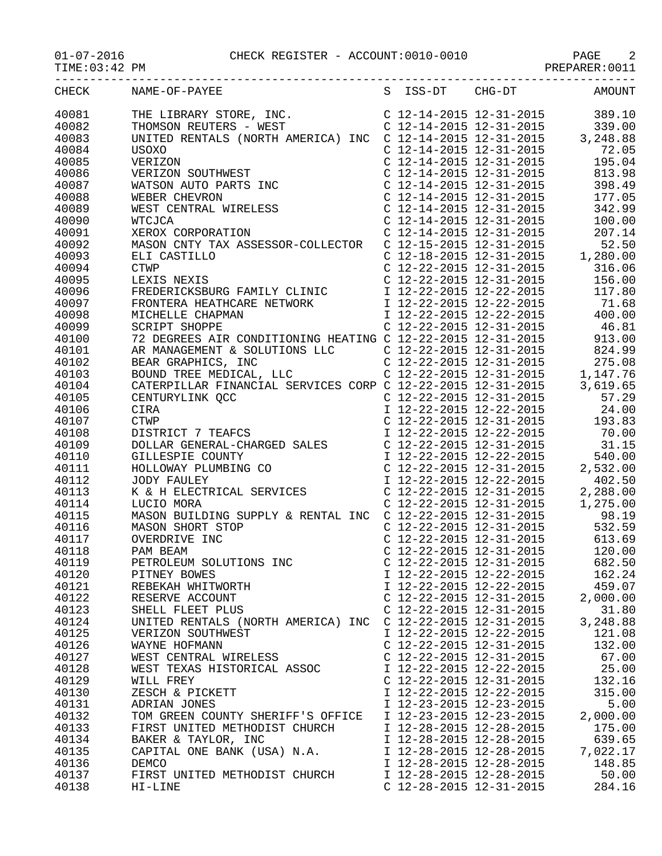01-07-2016 CHECK REGISTER - ACCOUNT:0010-0010 PAGE 2

-----------------------------------------------------------------------------------

|  | AUDAV DRATAMED | $\overline{ }$ |
|--|----------------|----------------|

TIME:03:42 PM PREPARER:0011

| CHECK | NAME-OF-PAYEE                                                                                                                                                                                                                                     | S ISS-DT                  | $CHG-DT$                                                                      | AMOUNT                           |
|-------|---------------------------------------------------------------------------------------------------------------------------------------------------------------------------------------------------------------------------------------------------|---------------------------|-------------------------------------------------------------------------------|----------------------------------|
| 40081 | THE LIBRARY STORE, INC.<br>THOMSON REUTERS - WEST<br>C 12-14-2015 12-31-2015<br>C 12-14-2015 12-31-2015<br>C 12-14-2015 12-31-2015<br>C 12-14-2015 12-31-2015<br>C 12-14-2015 12-31-2015<br>C 12-14-2015 12-31-2015<br>C 12-14-2015 12-31-2015    |                           |                                                                               |                                  |
| 40082 |                                                                                                                                                                                                                                                   |                           |                                                                               |                                  |
| 40083 |                                                                                                                                                                                                                                                   |                           |                                                                               |                                  |
| 40084 |                                                                                                                                                                                                                                                   |                           |                                                                               |                                  |
| 40085 |                                                                                                                                                                                                                                                   |                           |                                                                               |                                  |
| 40086 |                                                                                                                                                                                                                                                   |                           |                                                                               |                                  |
| 40087 |                                                                                                                                                                                                                                                   |                           | C 12-14-2015 12-31-2015                                                       | 398.49                           |
| 40088 |                                                                                                                                                                                                                                                   |                           |                                                                               | 177.05                           |
| 40089 |                                                                                                                                                                                                                                                   |                           | C 12-14-2015 12-31-2015<br>C 12-14-2015 12-31-2015<br>C 12-14-2015 12-31-2015 | 342.99                           |
| 40090 |                                                                                                                                                                                                                                                   |                           |                                                                               | 100.00                           |
| 40091 | USOXO<br>VERIZON<br>VERIZON SOUTHWEST<br>WATSON AUTO PARTS INC<br>WEBER CHEVRON<br>WEST CENTRAL WIRELESS<br>WTCJCA<br>XEROX CORPORATION<br>XEROX CORPORATION                                                                                      |                           | $C$ 12-14-2015 12-31-2015                                                     | 207.14                           |
| 40092 | MASON CNTY TAX ASSESSOR-COLLECTOR C 12-15-2015 12-31-2015                                                                                                                                                                                         |                           |                                                                               | 52.50                            |
| 40093 | ELI CASTILLO<br>CTWP C 12-18-2015 12-31-2015 1,280.00<br>CTWP C 12-22-2015 12-31-2015 316.06<br>LEXIS NEXIS C 12-22-2015 12-31-2015 316.06<br>FREDERICKSBURG FAMILY CLINIC I 12-22-2015 12-31-2015 156.00<br>FRONTERA HEATHCARE NETWORK           |                           |                                                                               | C 12-18-2015 12-31-2015 1,280.00 |
| 40094 |                                                                                                                                                                                                                                                   |                           |                                                                               |                                  |
| 40095 |                                                                                                                                                                                                                                                   |                           |                                                                               |                                  |
| 40096 |                                                                                                                                                                                                                                                   |                           |                                                                               |                                  |
| 40097 |                                                                                                                                                                                                                                                   |                           |                                                                               |                                  |
| 40098 |                                                                                                                                                                                                                                                   |                           |                                                                               |                                  |
| 40099 |                                                                                                                                                                                                                                                   |                           |                                                                               |                                  |
| 40100 |                                                                                                                                                                                                                                                   |                           |                                                                               |                                  |
| 40101 | C 12-22-2015 12-31-2015<br>72 DEGREES AIR CONDITIONING HEATING C 12-22-2015 12-31-2015<br>72 DEGREES AIR CONDITIONING HEATING C 12-22-2015 12-31-2015<br>AR MANAGEMENT & SOLUTIONS LLC<br>C 12-22-2015 12-31-2015<br>C 12-22-2015 12-31-          |                           |                                                                               |                                  |
| 40102 |                                                                                                                                                                                                                                                   |                           |                                                                               |                                  |
| 40103 |                                                                                                                                                                                                                                                   |                           |                                                                               |                                  |
| 40104 | CATERPILLAR FINANCIAL SERVICES CORP C 12-22-2015 12-31-2015                                                                                                                                                                                       |                           |                                                                               | 3,619.65                         |
| 40105 |                                                                                                                                                                                                                                                   |                           |                                                                               |                                  |
| 40106 |                                                                                                                                                                                                                                                   |                           |                                                                               |                                  |
| 40107 |                                                                                                                                                                                                                                                   |                           |                                                                               |                                  |
| 40108 |                                                                                                                                                                                                                                                   |                           |                                                                               |                                  |
| 40109 |                                                                                                                                                                                                                                                   |                           |                                                                               |                                  |
| 40110 |                                                                                                                                                                                                                                                   |                           |                                                                               |                                  |
| 40111 |                                                                                                                                                                                                                                                   |                           |                                                                               |                                  |
| 40112 |                                                                                                                                                                                                                                                   |                           |                                                                               |                                  |
| 40113 |                                                                                                                                                                                                                                                   |                           |                                                                               |                                  |
| 40114 |                                                                                                                                                                                                                                                   |                           |                                                                               |                                  |
| 40115 |                                                                                                                                                                                                                                                   |                           |                                                                               |                                  |
| 40116 | MASON BUILDING SUPPLY & RENTAL INC C 12-22-2015 12-31-2015<br>MASON SHORT STOP C 12-22-2015 12-31-2015<br>OVERDRIVE INC C 12-22-2015 12-31-2015<br>C 12-22-2015 12-31-2015 613.69<br>PAM BEAM C C 12-22-2015 12-31-2015 120.00<br>$\overline{OP}$ |                           |                                                                               |                                  |
| 40117 |                                                                                                                                                                                                                                                   |                           |                                                                               |                                  |
| 40118 |                                                                                                                                                                                                                                                   |                           |                                                                               |                                  |
| 40119 | PETROLEUM SOLUTIONS INC                                                                                                                                                                                                                           |                           | C 12-22-2015 12-31-2015                                                       | 682.50                           |
| 40120 | PITNEY BOWES                                                                                                                                                                                                                                      | I 12-22-2015 12-22-2015   |                                                                               | 162.24                           |
| 40121 | REBEKAH WHITWORTH                                                                                                                                                                                                                                 | I 12-22-2015 12-22-2015   |                                                                               | 459.07                           |
| 40122 | RESERVE ACCOUNT                                                                                                                                                                                                                                   | C 12-22-2015 12-31-2015   |                                                                               | 2,000.00                         |
| 40123 | SHELL FLEET PLUS                                                                                                                                                                                                                                  | C 12-22-2015 12-31-2015   |                                                                               | 31.80                            |
| 40124 | UNITED RENTALS (NORTH AMERICA) INC                                                                                                                                                                                                                | $C$ 12-22-2015 12-31-2015 |                                                                               | 3,248.88                         |
| 40125 | VERIZON SOUTHWEST                                                                                                                                                                                                                                 | I 12-22-2015 12-22-2015   |                                                                               | 121.08                           |
| 40126 | WAYNE HOFMANN                                                                                                                                                                                                                                     | C 12-22-2015 12-31-2015   |                                                                               | 132.00                           |
| 40127 | WEST CENTRAL WIRELESS                                                                                                                                                                                                                             | C 12-22-2015 12-31-2015   |                                                                               | 67.00                            |
| 40128 | WEST TEXAS HISTORICAL ASSOC                                                                                                                                                                                                                       | I 12-22-2015 12-22-2015   |                                                                               | 25.00                            |
| 40129 | WILL FREY                                                                                                                                                                                                                                         | C 12-22-2015 12-31-2015   |                                                                               | 132.16                           |
| 40130 | ZESCH & PICKETT                                                                                                                                                                                                                                   | I 12-22-2015 12-22-2015   |                                                                               | 315.00                           |

40131 ADRIAN JONES I 12-23-2015 12-23-2015 5.00 40132 TOM GREEN COUNTY SHERIFF'S OFFICE I 12-23-2015 12-23-2015 2,000.00 40133 FIRST UNITED METHODIST CHURCH I 12-28-2015 12-28-2015 175.00 40134 BAKER & TAYLOR, INC I 12-28-2015 12-28-2015 639.65 40135 CAPITAL ONE BANK (USA) N.A. I 12-28-2015 12-28-2015 7,022.17 40134 BANER & IAILOR, INC.<br>40135 CAPITAL ONE BANK (USA) N.A. I 12-28-2015 12-28-2015 7,022.17<br>40136 DEMCO I 12-28-2015 12-28-2015 148.85<br>40137 FIRST UNITED METHODIST CHURCH I 12-28-2015 12-28-2015 50.00 40137 FIRST UNITED METHODIST CHURCH 12-28-2015 12-28-2015 50.00<br>40138 HI-LINE 6 12-28-2015 12-31-2015 284.16

C 12-28-2015 12-31-2015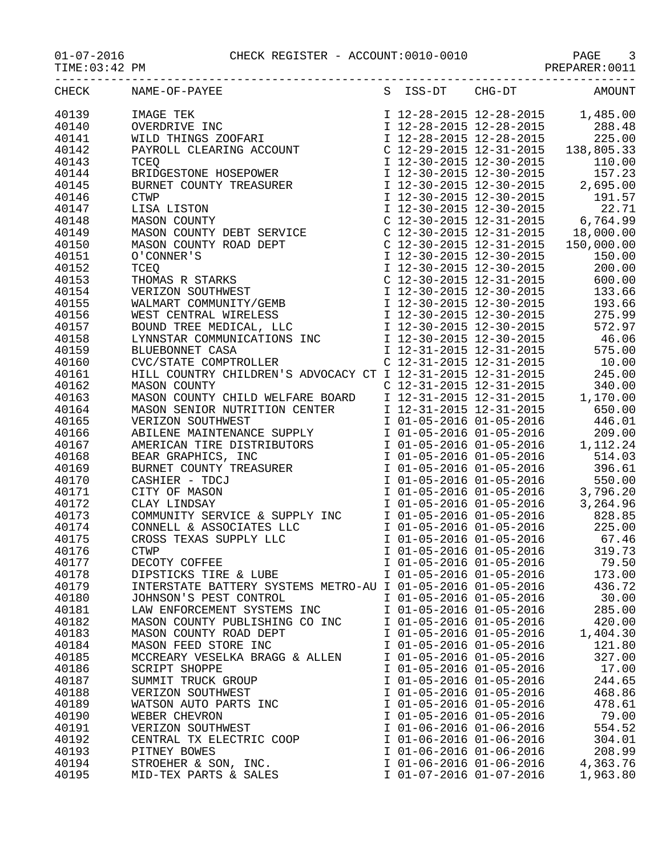## 01-07-2016 CHECK REGISTER - ACCOUNT:0010-0010 PAGE 3

 $TIME:03:42 PM$ 

|       | CHECK NAME-OF-PAYEE                                                                                                                                                                                                                                         |  | S ISS-DT CHG-DT AMOUNT              |
|-------|-------------------------------------------------------------------------------------------------------------------------------------------------------------------------------------------------------------------------------------------------------------|--|-------------------------------------|
| 40139 | 1,485.00<br>OVERDRIVE INC<br>WILD THINGS ZOOFARI<br>PAYROLL CLEARING ACCOUNT<br>THERE ACCOUNT<br>THERE ACCOUNT<br>THERE ACCOUNT<br>THERE ACCOUNT<br>THERE ACCOUNT<br>THERE ACCOUNT<br>THERE ACCOUNT<br>THERE ACCOUNT<br>THERE ACCOUNT<br>THERE ACCOUNT<br>  |  |                                     |
| 40140 |                                                                                                                                                                                                                                                             |  |                                     |
| 40141 |                                                                                                                                                                                                                                                             |  |                                     |
| 40142 |                                                                                                                                                                                                                                                             |  |                                     |
| 40143 |                                                                                                                                                                                                                                                             |  |                                     |
| 40144 | FAIROLL CLEARING ACCOUNT<br>TCEQ<br>TCEQ<br>EXEMPSEPOWER<br>EURING HOSEPOWER<br>ISO, 000.03.33<br>DERIDGESTONE HOSEPOWER<br>ISO, 000.03.33<br>ISO, 000.00<br>ISO, 000.00<br>ISO, 000.00<br>ISO, 000.00<br>ISO, 000.00<br>ISO, 000.00<br>ISO, 000.00<br>ISO, |  |                                     |
| 40145 |                                                                                                                                                                                                                                                             |  |                                     |
| 40146 |                                                                                                                                                                                                                                                             |  |                                     |
| 40147 |                                                                                                                                                                                                                                                             |  |                                     |
| 40148 |                                                                                                                                                                                                                                                             |  |                                     |
| 40149 | MASON COUNTY DEBT SERVICE<br>C 12-30-2015 12-31-2015 18,000.00                                                                                                                                                                                              |  |                                     |
| 40150 |                                                                                                                                                                                                                                                             |  |                                     |
| 40151 | MASON COUNTY DEBI SERVICE<br>MASON COUNTY ROAD DEPT<br>C 12-30-2015 12-31-2015<br>C 12-30-2015 12-31-2015<br>TCEQ<br>THOMAS R STARKS<br>THOMAS R STARKS<br>C 12-30-2015 12-30-2015<br>TCEQ<br>I 12-30-2015 12-31-2015<br>C 12-30-2015 12-31-2015<br>        |  |                                     |
| 40152 |                                                                                                                                                                                                                                                             |  |                                     |
| 40153 |                                                                                                                                                                                                                                                             |  |                                     |
| 40154 |                                                                                                                                                                                                                                                             |  |                                     |
| 40155 |                                                                                                                                                                                                                                                             |  |                                     |
| 40156 |                                                                                                                                                                                                                                                             |  |                                     |
| 40157 |                                                                                                                                                                                                                                                             |  |                                     |
| 40158 |                                                                                                                                                                                                                                                             |  |                                     |
| 40159 | BLUEBONNET CASA<br>CVC/STATE COMPTROLLER                                                                                                                                                                                                                    |  | I 12-31-2015 12-31-2015 575.00      |
| 40160 |                                                                                                                                                                                                                                                             |  | C $12-31-2015$ $12-31-2015$ $10.00$ |
| 40161 | HILL COUNTRY CHILDREN'S ADVOCACY CT I 12-31-2015 12-31-2015 245.00                                                                                                                                                                                          |  |                                     |
| 40162 | MASON COUNTY<br>MASON COUNTY CHILD WELFARE BOARD<br>MASON COUNTY CHILD WELFARE BOARD<br>MASON SENIOR NUTRITION CENTER<br>T 12-31-2015 12-31-2015<br>1,170.00<br>MASON SENIOR NUTRITION CENTER<br>T 12-31-2015 12-31-2015<br>1,170.00<br>MERICAN             |  |                                     |
| 40163 |                                                                                                                                                                                                                                                             |  |                                     |
| 40164 |                                                                                                                                                                                                                                                             |  |                                     |
| 40165 |                                                                                                                                                                                                                                                             |  |                                     |
| 40166 |                                                                                                                                                                                                                                                             |  |                                     |
| 40167 |                                                                                                                                                                                                                                                             |  |                                     |
| 40168 |                                                                                                                                                                                                                                                             |  |                                     |
| 40169 | BURNET COUNTY TREASURER<br>CASHIER - TDCJ<br>CITY OF MASON TO 1-05-2016 01-05-2016 550.00                                                                                                                                                                   |  |                                     |
| 40170 | CASHIER - TDCJ                                                                                                                                                                                                                                              |  |                                     |
| 40171 |                                                                                                                                                                                                                                                             |  |                                     |

| 40158 | LYNNSTAR COMMUNICATIONS INC                                 | I 12-30-2015 12-30-2015 |                                                    | 46.06    |
|-------|-------------------------------------------------------------|-------------------------|----------------------------------------------------|----------|
| 40159 | BLUEBONNET CASA                                             |                         | I 12-31-2015 12-31-2015                            | 575.00   |
| 40160 | CVC/STATE COMPTROLLER<br>CVC/STATE COMPTROLLER              |                         | $C$ 12-31-2015 12-31-2015                          | 10.00    |
| 40161 | HILL COUNTRY CHILDREN'S ADVOCACY CT I 12-31-2015 12-31-2015 |                         |                                                    | 245.00   |
| 40162 | MASON COUNTY                                                |                         | $C$ 12-31-2015 12-31-2015                          | 340.00   |
| 40163 | MASON COUNTY CHILD WELFARE BOARD                            |                         | I 12-31-2015 12-31-2015                            | 1,170.00 |
| 40164 | MASON SENIOR NUTRITION CENTER                               |                         | I 12-31-2015 12-31-2015                            | 650.00   |
| 40165 | VERIZON SOUTHWEST                                           |                         | I 01-05-2016 01-05-2016                            | 446.01   |
| 40166 | ABILENE MAINTENANCE SUPPLY                                  |                         | I 01-05-2016 01-05-2016                            | 209.00   |
| 40167 | AMERICAN TIRE DISTRIBUTORS                                  |                         | I 01-05-2016 01-05-2016                            | 1,112.24 |
| 40168 | BEAR GRAPHICS, INC                                          |                         | I 01-05-2016 01-05-2016                            | 514.03   |
| 40169 | BEAR GRAPHICS, INC<br>BURNET COUNTY TREASURER               |                         | I 01-05-2016 01-05-2016                            | 396.61   |
| 40170 | CASHIER - TDCJ                                              |                         | I 01-05-2016 01-05-2016                            | 550.00   |
| 40171 | CITY OF MASON                                               |                         |                                                    | 3,796.20 |
| 40172 | CLAY LINDSAY                                                |                         | I 01-05-2016 01-05-2016<br>I 01-05-2016 01-05-2016 | 3,264.96 |
| 40173 | COMMUNITY SERVICE & SUPPLY INC                              |                         | I 01-05-2016 01-05-2016                            | 828.85   |
| 40174 | CONNELL & ASSOCIATES LLC                                    |                         | I 01-05-2016 01-05-2016                            | 225.00   |
| 40175 | CROSS TEXAS SUPPLY LLC                                      |                         | I 01-05-2016 01-05-2016                            | 67.46    |
| 40176 | <b>CTWP</b>                                                 |                         | I 01-05-2016 01-05-2016                            | 319.73   |
| 40177 | DECOTY COFFEE                                               |                         | I 01-05-2016 01-05-2016                            | 79.50    |
| 40178 | DIPSTICKS TIRE & LUBE                                       |                         | I 01-05-2016 01-05-2016                            | 173.00   |
| 40179 | INTERSTATE BATTERY SYSTEMS METRO-AU I 01-05-2016 01-05-2016 |                         |                                                    | 436.72   |
| 40180 | JOHNSON'S PEST CONTROL                                      |                         | I 01-05-2016 01-05-2016                            | 30.00    |
| 40181 | LAW ENFORCEMENT SYSTEMS INC                                 |                         | I 01-05-2016 01-05-2016                            | 285.00   |
| 40182 | MASON COUNTY PUBLISHING CO INC                              | I 01-05-2016 01-05-2016 |                                                    | 420.00   |
| 40183 | MASON COUNTY ROAD DEPT                                      | I 01-05-2016 01-05-2016 |                                                    | 1,404.30 |
| 40184 | MASON FEED STORE INC                                        | I 01-05-2016 01-05-2016 |                                                    | 121.80   |
| 40185 | MCCREARY VESELKA BRAGG & ALLEN                              | I 01-05-2016 01-05-2016 |                                                    | 327.00   |
| 40186 | <b>SCRIPT SHOPPE</b>                                        | I 01-05-2016 01-05-2016 |                                                    | 17.00    |
| 40187 | SUMMIT TRUCK GROUP                                          | I 01-05-2016 01-05-2016 |                                                    | 244.65   |
| 40188 | VERIZON SOUTHWEST                                           | I 01-05-2016 01-05-2016 |                                                    | 468.86   |
| 40189 | WATSON AUTO PARTS INC<br>WEBER CHEVRON<br>VERTZON SOUTHWEST | I 01-05-2016 01-05-2016 |                                                    | 478.61   |
| 40190 |                                                             |                         | I 01-05-2016 01-05-2016                            | 79.00    |
| 40191 | VERIZON SOUTHWEST                                           |                         | I 01-06-2016 01-06-2016                            | 554.52   |
| 40192 | CENTRAL TX ELECTRIC COOP                                    |                         | I 01-06-2016 01-06-2016                            | 304.01   |
| 40193 | PITNEY BOWES                                                |                         | I 01-06-2016 01-06-2016                            | 208.99   |
| 40194 | STROEHER & SON, INC.                                        |                         | I 01-06-2016 01-06-2016                            | 4,363.76 |
| 40195 | MID-TEX PARTS & SALES                                       | I 01-07-2016 01-07-2016 |                                                    | 1,963.80 |
|       |                                                             |                         |                                                    |          |